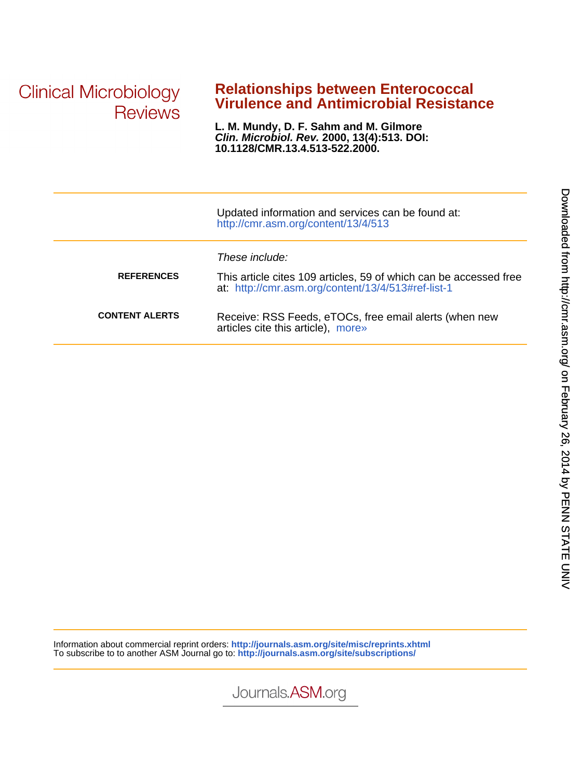**Clinical Microbiology Reviews** 

## **Virulence and Antimicrobial Resistance Relationships between Enterococcal**

**10.1128/CMR.13.4.513-522.2000. Clin. Microbiol. Rev. 2000, 13(4):513. DOI: L. M. Mundy, D. F. Sahm and M. Gilmore**

|                       | Updated information and services can be found at:<br>http://cmr.asm.org/content/13/4/513                                                  |
|-----------------------|-------------------------------------------------------------------------------------------------------------------------------------------|
| <b>REFERENCES</b>     | These include:<br>This article cites 109 articles, 59 of which can be accessed free<br>at: http://cmr.asm.org/content/13/4/513#ref-list-1 |
| <b>CONTENT ALERTS</b> | Receive: RSS Feeds, eTOCs, free email alerts (when new<br>articles cite this article), more»                                              |

Information about commercial reprint orders: **<http://journals.asm.org/site/misc/reprints.xhtml>** To subscribe to to another ASM Journal go to: **<http://journals.asm.org/site/subscriptions/>**

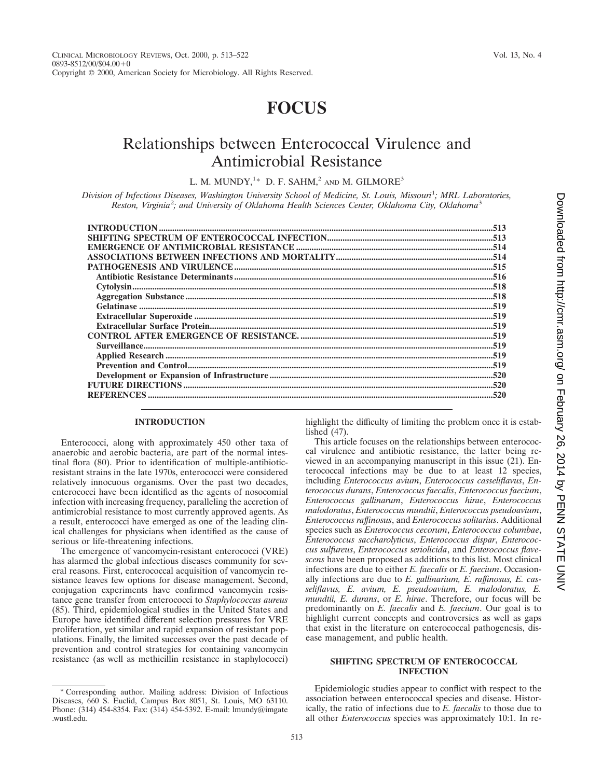# **FOCUS**

## Relationships between Enterococcal Virulence and Antimicrobial Resistance

L. M. MUNDY,<sup>1\*</sup> D. F. SAHM,<sup>2</sup> and M. GILMORE<sup>3</sup>

*Division of Infectious Diseases, Washington University School of Medicine, St. Louis, Missouri*<sup>1</sup> *; MRL Laboratories, Reston, Virginia*<sup>2</sup> *; and University of Oklahoma Health Sciences Center, Oklahoma City, Oklahoma*<sup>3</sup>

## **INTRODUCTION**

Enterococci, along with approximately 450 other taxa of anaerobic and aerobic bacteria, are part of the normal intestinal flora (80). Prior to identification of multiple-antibioticresistant strains in the late 1970s, enterococci were considered relatively innocuous organisms. Over the past two decades, enterococci have been identified as the agents of nosocomial infection with increasing frequency, paralleling the accretion of antimicrobial resistance to most currently approved agents. As a result, enterococci have emerged as one of the leading clinical challenges for physicians when identified as the cause of serious or life-threatening infections.

The emergence of vancomycin-resistant enterococci (VRE) has alarmed the global infectious diseases community for several reasons. First, enterococcal acquisition of vancomycin resistance leaves few options for disease management. Second, conjugation experiments have confirmed vancomycin resistance gene transfer from enterococci to *Staphylococcus aureus* (85). Third, epidemiological studies in the United States and Europe have identified different selection pressures for VRE proliferation, yet similar and rapid expansion of resistant populations. Finally, the limited successes over the past decade of prevention and control strategies for containing vancomycin resistance (as well as methicillin resistance in staphylococci)

highlight the difficulty of limiting the problem once it is established (47).

This article focuses on the relationships between enterococcal virulence and antibiotic resistance, the latter being reviewed in an accompanying manuscript in this issue (21). Enterococcal infections may be due to at least 12 species, including *Enterococcus avium*, *Enterococcus casseliflavus*, *Enterococcus durans*, *Enterococcus faecalis*, *Enterococcus faecium*, *Enterococcus gallinarum*, *Enterococcus hirae*, *Enterococcus malodoratus*, *Enterococcus mundtii*, *Enterococcus pseudoavium*, *Enterococcus raffinosus*, and *Enterococcus solitarius*. Additional species such as *Enterococcus cecorum*, *Enterococcus columbae*, *Enterococcus saccharolyticus*, *Enterococcus dispar*, *Enterococcus sulfureus*, *Enterococcus seriolicida*, and *Enterococcus flavescens* have been proposed as additions to this list. Most clinical infections are due to either *E. faecalis* or *E. faecium*. Occasionally infections are due to *E. gallinarium, E. raffinosus, E. casseliflavus, E. avium, E. pseudoavium, E. malodoratus, E. mundtii, E. durans*, or *E. hirae*. Therefore, our focus will be predominantly on *E. faecalis* and *E. faecium*. Our goal is to highlight current concepts and controversies as well as gaps that exist in the literature on enterococcal pathogenesis, disease management, and public health.

## **SHIFTING SPECTRUM OF ENTEROCOCCAL INFECTION**

Epidemiologic studies appear to conflict with respect to the association between enterococcal species and disease. Historically, the ratio of infections due to *E. faecalis* to those due to all other *Enterococcus* species was approximately 10:1. In re-

<sup>\*</sup> Corresponding author. Mailing address: Division of Infectious Diseases, 660 S. Euclid, Campus Box 8051, St. Louis, MO 63110. Phone: (314) 454-8354. Fax: (314) 454-5392. E-mail: lmundy@imgate .wustl.edu.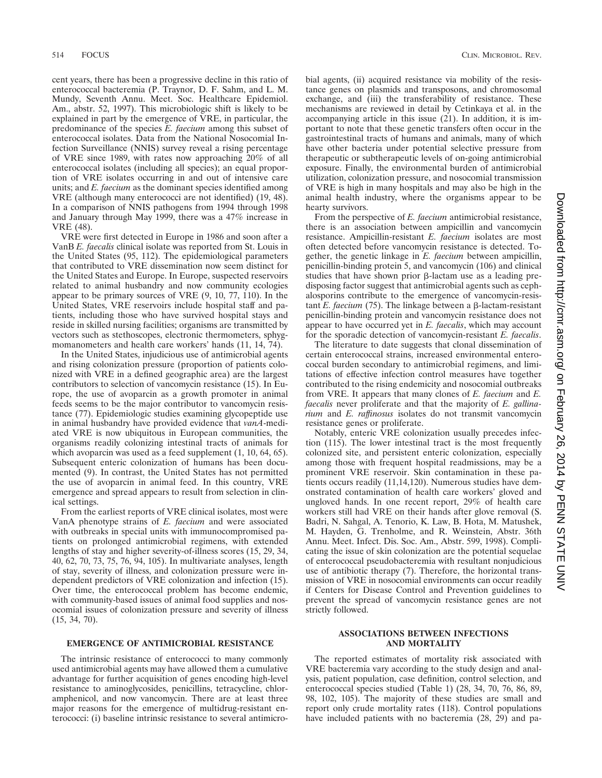cent years, there has been a progressive decline in this ratio of enterococcal bacteremia (P. Traynor, D. F. Sahm, and L. M. Mundy, Seventh Annu. Meet. Soc. Healthcare Epidemiol. Am., abstr. 52, 1997). This microbiologic shift is likely to be explained in part by the emergence of VRE, in particular, the predominance of the species *E. faecium* among this subset of enterococcal isolates. Data from the National Nosocomial Infection Surveillance (NNIS) survey reveal a rising percentage of VRE since 1989, with rates now approaching 20% of all enterococcal isolates (including all species); an equal proportion of VRE isolates occurring in and out of intensive care units; and *E. faecium* as the dominant species identified among VRE (although many enterococci are not identified) (19, 48). In a comparison of NNIS pathogens from 1994 through 1998 and January through May 1999, there was a 47% increase in VRE (48).

VRE were first detected in Europe in 1986 and soon after a VanB *E. faecalis* clinical isolate was reported from St. Louis in the United States (95, 112). The epidemiological parameters that contributed to VRE dissemination now seem distinct for the United States and Europe. In Europe, suspected reservoirs related to animal husbandry and now community ecologies appear to be primary sources of VRE (9, 10, 77, 110). In the United States, VRE reservoirs include hospital staff and patients, including those who have survived hospital stays and reside in skilled nursing facilities; organisms are transmitted by vectors such as stethoscopes, electronic thermometers, sphygmomanometers and health care workers' hands (11, 14, 74).

In the United States, injudicious use of antimicrobial agents and rising colonization pressure (proportion of patients colonized with VRE in a defined geographic area) are the largest contributors to selection of vancomycin resistance (15). In Europe, the use of avoparcin as a growth promoter in animal feeds seems to be the major contributor to vancomycin resistance (77). Epidemiologic studies examining glycopeptide use in animal husbandry have provided evidence that *vanA*-mediated VRE is now ubiquitous in European communities, the organisms readily colonizing intestinal tracts of animals for which avoparcin was used as a feed supplement  $(1, 10, 64, 65)$ . Subsequent enteric colonization of humans has been documented (9). In contrast, the United States has not permitted the use of avoparcin in animal feed. In this country, VRE emergence and spread appears to result from selection in clinical settings.

From the earliest reports of VRE clinical isolates, most were VanA phenotype strains of *E. faecium* and were associated with outbreaks in special units with immunocompromised patients on prolonged antimicrobial regimens, with extended lengths of stay and higher severity-of-illness scores (15, 29, 34, 40, 62, 70, 73, 75, 76, 94, 105). In multivariate analyses, length of stay, severity of illness, and colonization pressure were independent predictors of VRE colonization and infection (15). Over time, the enterococcal problem has become endemic, with community-based issues of animal food supplies and nosocomial issues of colonization pressure and severity of illness (15, 34, 70).

The intrinsic resistance of enterococci to many commonly used antimicrobial agents may have allowed them a cumulative advantage for further acquisition of genes encoding high-level resistance to aminoglycosides, penicillins, tetracycline, chloramphenicol, and now vancomycin. There are at least three major reasons for the emergence of multidrug-resistant enterococci: (i) baseline intrinsic resistance to several antimicrobial agents, (ii) acquired resistance via mobility of the resistance genes on plasmids and transposons, and chromosomal exchange, and (iii) the transferability of resistance. These mechanisms are reviewed in detail by Cetinkaya et al. in the accompanying article in this issue (21). In addition, it is important to note that these genetic transfers often occur in the gastrointestinal tracts of humans and animals, many of which have other bacteria under potential selective pressure from therapeutic or subtherapeutic levels of on-going antimicrobial exposure. Finally, the environmental burden of antimicrobial utilization, colonization pressure, and nosocomial transmission of VRE is high in many hospitals and may also be high in the animal health industry, where the organisms appear to be hearty survivors.

From the perspective of *E. faecium* antimicrobial resistance, there is an association between ampicillin and vancomycin resistance. Ampicillin-resistant *E. faecium* isolates are most often detected before vancomycin resistance is detected. Together, the genetic linkage in *E. faecium* between ampicillin, penicillin-binding protein 5, and vancomycin (106) and clinical studies that have shown prior  $\beta$ -lactam use as a leading predisposing factor suggest that antimicrobial agents such as cephalosporins contribute to the emergence of vancomycin-resistant *E. faecium* (75). The linkage between a  $\beta$ -lactam-resistant penicillin-binding protein and vancomycin resistance does not appear to have occurred yet in *E. faecalis*, which may account for the sporadic detection of vancomycin-resistant *E. faecalis*.

The literature to date suggests that clonal dissemination of certain enterococcal strains, increased environmental enterococcal burden secondary to antimicrobial regimens, and limitations of effective infection control measures have together contributed to the rising endemicity and nosocomial outbreaks from VRE. It appears that many clones of *E. faecium* and *E. faecalis* never proliferate and that the majority of *E. gallinarium* and *E. raffinosus* isolates do not transmit vancomycin resistance genes or proliferate.

Notably, enteric VRE colonization usually precedes infection (115). The lower intestinal tract is the most frequently colonized site, and persistent enteric colonization, especially among those with frequent hospital readmissions, may be a prominent VRE reservoir. Skin contamination in these patients occurs readily (11,14,120). Numerous studies have demonstrated contamination of health care workers' gloved and ungloved hands. In one recent report, 29% of health care workers still had VRE on their hands after glove removal (S. Badri, N. Sahgal, A. Tenorio, K. Law, B. Hota, M. Matushek, M. Hayden, G. Trenholme, and R. Weinstein, Abstr. 36th Annu. Meet. Infect. Dis. Soc. Am., Abstr. 599, 1998). Complicating the issue of skin colonization are the potential sequelae of enterococcal pseudobacteremia with resultant nonjudicious use of antibiotic therapy (7). Therefore, the horizontal transmission of VRE in nosocomial environments can occur readily if Centers for Disease Control and Prevention guidelines to prevent the spread of vancomycin resistance genes are not strictly followed.

### **ASSOCIATIONS BETWEEN INFECTIONS AND MORTALITY**

The reported estimates of mortality risk associated with VRE bacteremia vary according to the study design and analysis, patient population, case definition, control selection, and enterococcal species studied (Table 1) (28, 34, 70, 76, 86, 89, 98, 102, 105). The majority of these studies are small and report only crude mortality rates (118). Control populations have included patients with no bacteremia (28, 29) and pa-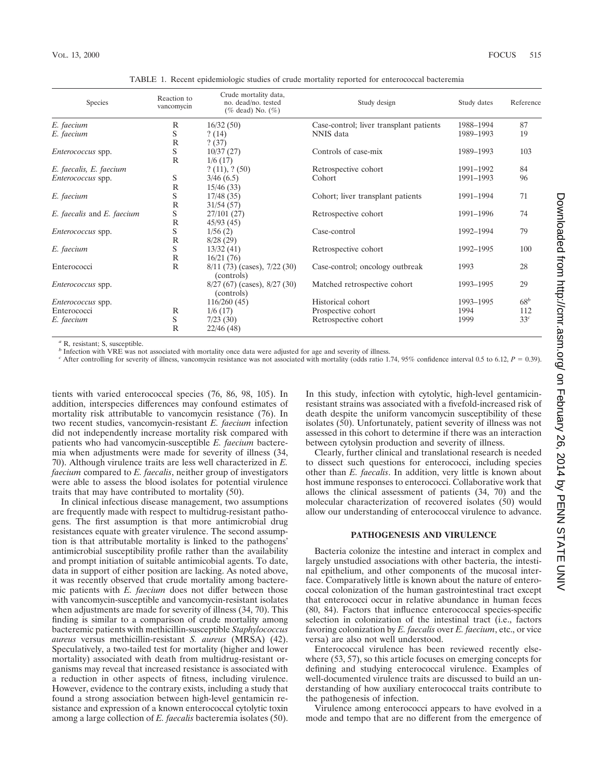| Species                    | Reaction to<br>vancomycin | Crude mortality data,<br>no. dead/no. tested<br>(% dead) No. $(\%)$ | Study design                            | Study dates | Reference       |
|----------------------------|---------------------------|---------------------------------------------------------------------|-----------------------------------------|-------------|-----------------|
| E. faecium                 | R                         | 16/32(50)                                                           | Case-control; liver transplant patients | 1988-1994   | 87              |
| E. faecium                 | S                         | ?(14)                                                               | NNIS data                               | 1989-1993   | 19              |
|                            | $\mathbb{R}$              | ? (37)                                                              |                                         |             |                 |
| Enterococcus spp.          | S                         | 10/37(27)                                                           | Controls of case-mix                    | 1989-1993   | 103             |
|                            | R                         | 1/6(17)                                                             |                                         |             |                 |
| E. faecalis, E. faecium    |                           | ? (11), ? (50)                                                      | Retrospective cohort                    | 1991-1992   | 84              |
| Enterococcus spp.          | S                         | 3/46(6.5)                                                           | Cohort                                  | 1991-1993   | 96              |
|                            | $\mathbb{R}$              | 15/46(33)                                                           |                                         |             |                 |
| E. faecium                 | S                         | 17/48(35)                                                           | Cohort; liver transplant patients       | 1991-1994   | 71              |
|                            | R                         | 31/54(57)                                                           |                                         |             |                 |
| E. faecalis and E. faecium | S                         | 27/101(27)                                                          | Retrospective cohort                    | 1991-1996   | 74              |
|                            | R                         | 45/93(45)                                                           |                                         |             |                 |
| <i>Enterococcus</i> spp.   | S                         | 1/56(2)                                                             | Case-control                            | 1992-1994   | 79              |
|                            | $\mathbb{R}$              | 8/28(29)                                                            |                                         |             |                 |
| E. faecium                 | S                         | 13/32(41)                                                           | Retrospective cohort                    | 1992-1995   | 100             |
|                            | R                         | 16/21(76)                                                           |                                         |             |                 |
| Enterococci                | $\mathbb{R}$              | $8/11$ (73) (cases), 7/22 (30)<br>(controls)                        | Case-control; oncology outbreak         | 1993        | 28              |
| <i>Enterococcus</i> spp.   |                           | $8/27$ (67) (cases), $8/27$ (30)<br>(controls)                      | Matched retrospective cohort            | 1993-1995   | 29              |
| Enterococcus spp.          |                           | 116/260(45)                                                         | Historical cohort                       | 1993-1995   | $68^b$          |
| Enterococci                | R                         | 1/6(17)                                                             | Prospective cohort                      | 1994        | 112             |
| E. faecium                 | S                         | 7/23(30)                                                            | Retrospective cohort                    | 1999        | 33 <sup>c</sup> |
|                            | $\mathbb{R}$              | 22/46 (48)                                                          |                                         |             |                 |

TABLE 1. Recent epidemiologic studies of crude mortality reported for enterococcal bacteremia

*<sup>a</sup>* R, resistant; S, susceptible.

*b* Infection with VRE was not associated with mortality once data were adjusted for age and severity of illness.

<sup>*c*</sup> After controlling for severity of illness, vancomycin resistance was not associated with mortality (odds ratio 1.74, 95% confidence interval 0.5 to 6.12,  $P = 0.39$ ).

tients with varied enterococcal species (76, 86, 98, 105). In addition, interspecies differences may confound estimates of mortality risk attributable to vancomycin resistance (76). In two recent studies, vancomycin-resistant *E. faecium* infection did not independently increase mortality risk compared with patients who had vancomycin-susceptible *E. faecium* bacteremia when adjustments were made for severity of illness (34, 70). Although virulence traits are less well characterized in *E. faecium* compared to *E. faecalis*, neither group of investigators were able to assess the blood isolates for potential virulence traits that may have contributed to mortality (50).

In clinical infectious disease management, two assumptions are frequently made with respect to multidrug-resistant pathogens. The first assumption is that more antimicrobial drug resistances equate with greater virulence. The second assumption is that attributable mortality is linked to the pathogens' antimicrobial susceptibility profile rather than the availability and prompt initiation of suitable antimicobial agents. To date, data in support of either position are lacking. As noted above, it was recently observed that crude mortality among bacteremic patients with *E. faecium* does not differ between those with vancomycin-susceptible and vancomycin-resistant isolates when adjustments are made for severity of illness (34, 70). This finding is similar to a comparison of crude mortality among bacteremic patients with methicillin-susceptible *Staphylococcus aureus* versus methicillin-resistant *S. aureus* (MRSA) (42). Speculatively, a two-tailed test for mortality (higher and lower mortality) associated with death from multidrug-resistant organisms may reveal that increased resistance is associated with a reduction in other aspects of fitness, including virulence. However, evidence to the contrary exists, including a study that found a strong association between high-level gentamicin resistance and expression of a known enterococcal cytolytic toxin among a large collection of *E. faecalis* bacteremia isolates (50). In this study, infection with cytolytic, high-level gentamicinresistant strains was associated with a fivefold-increased risk of death despite the uniform vancomycin susceptibility of these isolates (50). Unfortunately, patient severity of illness was not assessed in this cohort to determine if there was an interaction between cytolysin production and severity of illness.

Clearly, further clinical and translational research is needed to dissect such questions for enterococci, including species other than *E. faecalis*. In addition, very little is known about host immune responses to enterococci. Collaborative work that allows the clinical assessment of patients (34, 70) and the molecular characterization of recovered isolates (50) would allow our understanding of enterococcal virulence to advance.

#### **PATHOGENESIS AND VIRULENCE**

Bacteria colonize the intestine and interact in complex and largely unstudied associations with other bacteria, the intestinal epithelium, and other components of the mucosal interface. Comparatively little is known about the nature of enterococcal colonization of the human gastrointestinal tract except that enterococci occur in relative abundance in human feces (80, 84). Factors that influence enterococcal species-specific selection in colonization of the intestinal tract (i.e., factors favoring colonization by *E. faecalis* over *E. faecium*, etc., or vice versa) are also not well understood.

Enterococcal virulence has been reviewed recently elsewhere (53, 57), so this article focuses on emerging concepts for defining and studying enterococcal virulence. Examples of well-documented virulence traits are discussed to build an understanding of how auxiliary enterococcal traits contribute to the pathogenesis of infection.

Virulence among enterococci appears to have evolved in a mode and tempo that are no different from the emergence of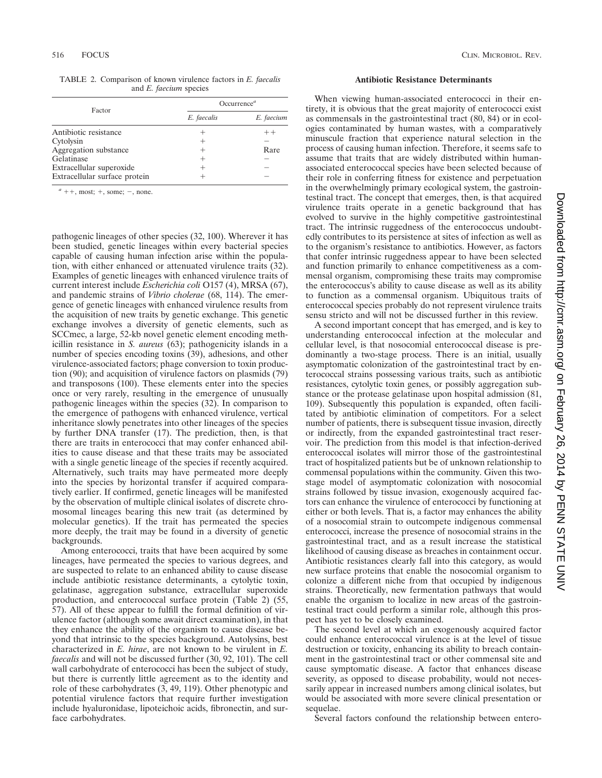TABLE 2. Comparison of known virulence factors in *E. faecalis* and *E. faecium* species

| Factor                        | Occurrence <sup><math>a</math></sup> |            |  |
|-------------------------------|--------------------------------------|------------|--|
|                               | E. faecalis                          | E. faecium |  |
| Antibiotic resistance         |                                      | $++$       |  |
| Cytolysin                     |                                      |            |  |
| Aggregation substance         | +                                    | Rare       |  |
| Gelatinase                    | +                                    |            |  |
| Extracellular superoxide      | +                                    |            |  |
| Extracellular surface protein |                                      |            |  |

 $a + +$ , most;  $+$ , some;  $-$ , none.

pathogenic lineages of other species (32, 100). Wherever it has been studied, genetic lineages within every bacterial species capable of causing human infection arise within the population, with either enhanced or attenuated virulence traits (32). Examples of genetic lineages with enhanced virulence traits of current interest include *Escherichia coli* O157 (4), MRSA (67), and pandemic strains of *Vibrio cholerae* (68, 114). The emergence of genetic lineages with enhanced virulence results from the acquisition of new traits by genetic exchange. This genetic exchange involves a diversity of genetic elements, such as SCCmec, a large, 52-kb novel genetic element encoding methicillin resistance in *S. aureus* (63); pathogenicity islands in a number of species encoding toxins (39), adhesions, and other virulence-associated factors; phage conversion to toxin production (90); and acquisition of virulence factors on plasmids (79) and transposons (100). These elements enter into the species once or very rarely, resulting in the emergence of unusually pathogenic lineages within the species (32). In comparison to the emergence of pathogens with enhanced virulence, vertical inheritance slowly penetrates into other lineages of the species by further DNA transfer (17). The prediction, then, is that there are traits in enterococci that may confer enhanced abilities to cause disease and that these traits may be associated with a single genetic lineage of the species if recently acquired. Alternatively, such traits may have permeated more deeply into the species by horizontal transfer if acquired comparatively earlier. If confirmed, genetic lineages will be manifested by the observation of multiple clinical isolates of discrete chromosomal lineages bearing this new trait (as determined by molecular genetics). If the trait has permeated the species more deeply, the trait may be found in a diversity of genetic backgrounds.

Among enterococci, traits that have been acquired by some lineages, have permeated the species to various degrees, and are suspected to relate to an enhanced ability to cause disease include antibiotic resistance determinants, a cytolytic toxin, gelatinase, aggregation substance, extracellular superoxide production, and enterococcal surface protein (Table 2) (55, 57). All of these appear to fulfill the formal definition of virulence factor (although some await direct examination), in that they enhance the ability of the organism to cause disease beyond that intrinsic to the species background. Autolysins, best characterized in *E. hirae*, are not known to be virulent in *E. faecalis* and will not be discussed further (30, 92, 101). The cell wall carbohydrate of enterococci has been the subject of study, but there is currently little agreement as to the identity and role of these carbohydrates (3, 49, 119). Other phenotypic and potential virulence factors that require further investigation include hyaluronidase, lipoteichoic acids, fibronectin, and surface carbohydrates.

#### **Antibiotic Resistance Determinants**

When viewing human-associated enterococci in their entirety, it is obvious that the great majority of enterococci exist as commensals in the gastrointestinal tract (80, 84) or in ecologies contaminated by human wastes, with a comparatively minuscule fraction that experience natural selection in the process of causing human infection. Therefore, it seems safe to assume that traits that are widely distributed within humanassociated enterococcal species have been selected because of their role in conferring fitness for existence and perpetuation in the overwhelmingly primary ecological system, the gastrointestinal tract. The concept that emerges, then, is that acquired virulence traits operate in a genetic background that has evolved to survive in the highly competitive gastrointestinal tract. The intrinsic ruggedness of the enterococcus undoubtedly contributes to its persistence at sites of infection as well as to the organism's resistance to antibiotics. However, as factors that confer intrinsic ruggedness appear to have been selected and function primarily to enhance competitiveness as a commensal organism, compromising these traits may compromise the enterococcus's ability to cause disease as well as its ability to function as a commensal organism. Ubiquitous traits of enterococcal species probably do not represent virulence traits sensu stricto and will not be discussed further in this review.

A second important concept that has emerged, and is key to understanding enterococcal infection at the molecular and cellular level, is that nosocomial enterococcal disease is predominantly a two-stage process. There is an initial, usually asymptomatic colonization of the gastrointestinal tract by enterococcal strains possessing various traits, such as antibiotic resistances, cytolytic toxin genes, or possibly aggregation substance or the protease gelatinase upon hospital admission (81, 109). Subsequently this population is expanded, often facilitated by antibiotic elimination of competitors. For a select number of patients, there is subsequent tissue invasion, directly or indirectly, from the expanded gastrointestinal tract reservoir. The prediction from this model is that infection-derived enterococcal isolates will mirror those of the gastrointestinal tract of hospitalized patients but be of unknown relationship to commensal populations within the community. Given this twostage model of asymptomatic colonization with nosocomial strains followed by tissue invasion, exogenously acquired factors can enhance the virulence of enterococci by functioning at either or both levels. That is, a factor may enhances the ability of a nosocomial strain to outcompete indigenous commensal enterococci, increase the presence of nosocomial strains in the gastrointestinal tract, and as a result increase the statistical likelihood of causing disease as breaches in containment occur. Antibiotic resistances clearly fall into this category, as would new surface proteins that enable the nosocomial organism to colonize a different niche from that occupied by indigenous strains. Theoretically, new fermentation pathways that would enable the organism to localize in new areas of the gastrointestinal tract could perform a similar role, although this prospect has yet to be closely examined.

The second level at which an exogenously acquired factor could enhance enterococcal virulence is at the level of tissue destruction or toxicity, enhancing its ability to breach containment in the gastrointestinal tract or other commensal site and cause symptomatic disease. A factor that enhances disease severity, as opposed to disease probability, would not necessarily appear in increased numbers among clinical isolates, but would be associated with more severe clinical presentation or sequelae.

Several factors confound the relationship between entero-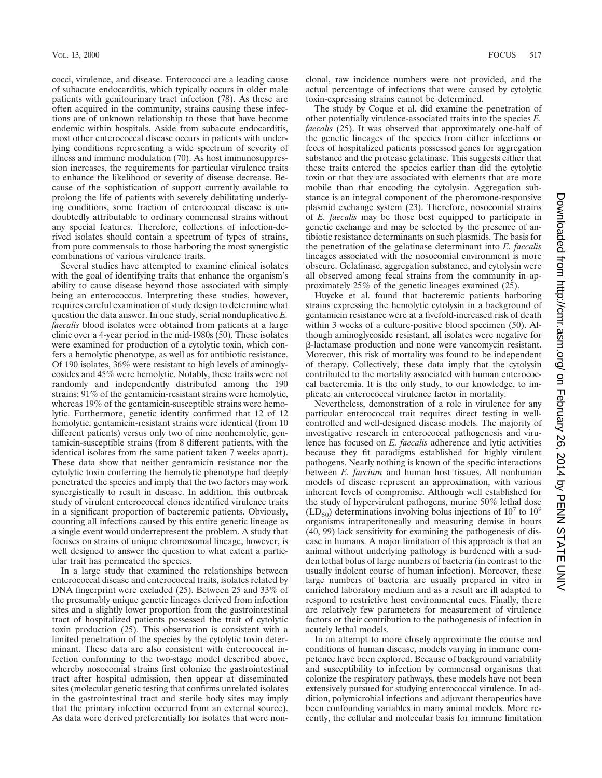cocci, virulence, and disease. Enterococci are a leading cause of subacute endocarditis, which typically occurs in older male patients with genitourinary tract infection (78). As these are often acquired in the community, strains causing these infections are of unknown relationship to those that have become endemic within hospitals. Aside from subacute endocarditis, most other enterococcal disease occurs in patients with underlying conditions representing a wide spectrum of severity of illness and immune modulation (70). As host immunosuppression increases, the requirements for particular virulence traits to enhance the likelihood or severity of disease decrease. Because of the sophistication of support currently available to prolong the life of patients with severely debilitating underlying conditions, some fraction of enterococcal disease is undoubtedly attributable to ordinary commensal strains without any special features. Therefore, collections of infection-derived isolates should contain a spectrum of types of strains, from pure commensals to those harboring the most synergistic combinations of various virulence traits.

Several studies have attempted to examine clinical isolates with the goal of identifying traits that enhance the organism's ability to cause disease beyond those associated with simply being an enterococcus. Interpreting these studies, however, requires careful examination of study design to determine what question the data answer. In one study, serial nonduplicative *E. faecalis* blood isolates were obtained from patients at a large clinic over a 4-year period in the mid-1980s (50). These isolates were examined for production of a cytolytic toxin, which confers a hemolytic phenotype, as well as for antibiotic resistance. Of 190 isolates, 36% were resistant to high levels of aminoglycosides and 45% were hemolytic. Notably, these traits were not randomly and independently distributed among the 190 strains; 91% of the gentamicin-resistant strains were hemolytic, whereas 19% of the gentamicin-susceptible strains were hemolytic. Furthermore, genetic identity confirmed that 12 of 12 hemolytic, gentamicin-resistant strains were identical (from 10 different patients) versus only two of nine nonhemolytic, gentamicin-susceptible strains (from 8 different patients, with the identical isolates from the same patient taken 7 weeks apart). These data show that neither gentamicin resistance nor the cytolytic toxin conferring the hemolytic phenotype had deeply penetrated the species and imply that the two factors may work synergistically to result in disease. In addition, this outbreak study of virulent enterococcal clones identified virulence traits in a significant proportion of bacteremic patients. Obviously, counting all infections caused by this entire genetic lineage as a single event would underrepresent the problem. A study that focuses on strains of unique chromosomal lineage, however, is well designed to answer the question to what extent a particular trait has permeated the species.

In a large study that examined the relationships between enterococcal disease and enterococcal traits, isolates related by DNA fingerprint were excluded (25). Between 25 and 33% of the presumably unique genetic lineages derived from infection sites and a slightly lower proportion from the gastrointestinal tract of hospitalized patients possessed the trait of cytolytic toxin production (25). This observation is consistent with a limited penetration of the species by the cytolytic toxin determinant. These data are also consistent with enterococcal infection conforming to the two-stage model described above, whereby nosocomial strains first colonize the gastrointestinal tract after hospital admission, then appear at disseminated sites (molecular genetic testing that confirms unrelated isolates in the gastrointestinal tract and sterile body sites may imply that the primary infection occurred from an external source). As data were derived preferentially for isolates that were nonclonal, raw incidence numbers were not provided, and the actual percentage of infections that were caused by cytolytic toxin-expressing strains cannot be determined.

The study by Coque et al. did examine the penetration of other potentially virulence-associated traits into the species *E. faecalis* (25). It was observed that approximately one-half of the genetic lineages of the species from either infections or feces of hospitalized patients possessed genes for aggregation substance and the protease gelatinase. This suggests either that these traits entered the species earlier than did the cytolytic toxin or that they are associated with elements that are more mobile than that encoding the cytolysin. Aggregation substance is an integral component of the pheromone-responsive plasmid exchange system (23). Therefore, nosocomial strains of *E. faecalis* may be those best equipped to participate in genetic exchange and may be selected by the presence of antibiotic resistance determinants on such plasmids. The basis for the penetration of the gelatinase determinant into *E. faecalis* lineages associated with the nosocomial environment is more obscure. Gelatinase, aggregation substance, and cytolysin were all observed among fecal strains from the community in approximately 25% of the genetic lineages examined (25).

Huycke et al. found that bacteremic patients harboring strains expressing the hemolytic cytolysin in a background of gentamicin resistance were at a fivefold-increased risk of death within 3 weeks of a culture-positive blood specimen (50). Although aminoglycoside resistant, all isolates were negative for b-lactamase production and none were vancomycin resistant. Moreover, this risk of mortality was found to be independent of therapy. Collectively, these data imply that the cytolysin contributed to the mortality associated with human enterococcal bacteremia. It is the only study, to our knowledge, to implicate an enterococcal virulence factor in mortality.

Nevertheless, demonstration of a role in virulence for any particular enterococcal trait requires direct testing in wellcontrolled and well-designed disease models. The majority of investigative research in enterococcal pathogenesis and virulence has focused on *E. faecalis* adherence and lytic activities because they fit paradigms established for highly virulent pathogens. Nearly nothing is known of the specific interactions between *E. faecium* and human host tissues. All nonhuman models of disease represent an approximation, with various inherent levels of compromise. Although well established for the study of hypervirulent pathogens, murine 50% lethal dose  $(LD_{50})$  determinations involving bolus injections of 10<sup>7</sup> to 10<sup>9</sup> organisms intraperitoneally and measuring demise in hours (40, 99) lack sensitivity for examining the pathogenesis of disease in humans. A major limitation of this approach is that an animal without underlying pathology is burdened with a sudden lethal bolus of large numbers of bacteria (in contrast to the usually indolent course of human infection). Moreover, these large numbers of bacteria are usually prepared in vitro in enriched laboratory medium and as a result are ill adapted to respond to restrictive host environmental cues. Finally, there are relatively few parameters for measurement of virulence factors or their contribution to the pathogenesis of infection in acutely lethal models.

In an attempt to more closely approximate the course and conditions of human disease, models varying in immune competence have been explored. Because of background variability and susceptibility to infection by commensal organisms that colonize the respiratory pathways, these models have not been extensively pursued for studying enterococcal virulence. In addition, polymicrobial infections and adjuvant therapeutics have been confounding variables in many animal models. More recently, the cellular and molecular basis for immune limitation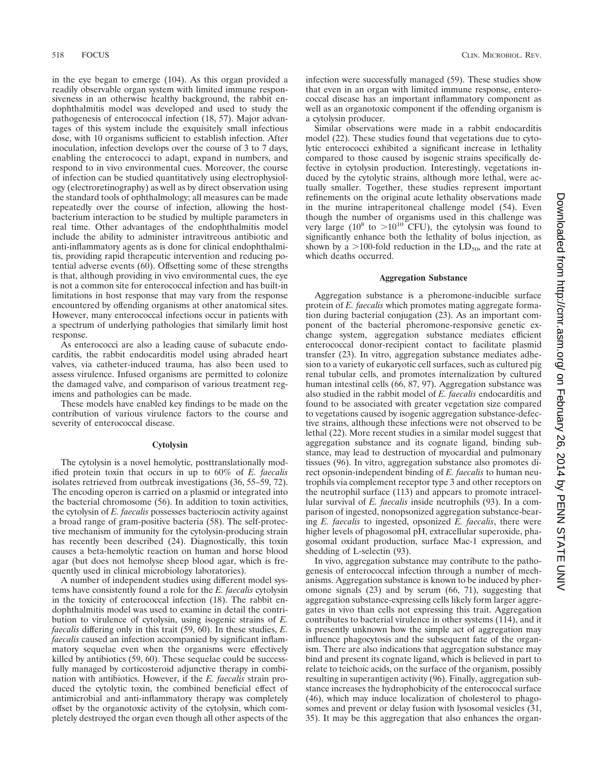in the eye began to emerge (104). As this organ provided a readily observable organ system with limited immune responsiveness in an otherwise healthy background, the rabbit endophthalmitis model was developed and used to study the pathogenesis of enterococcal infection (18, 57). Major advantages of this system include the exquisitely small infectious dose, with 10 organisms sufficient to establish infection. After inoculation, infection develops over the course of 3 to 7 days, enabling the enterococci to adapt, expand in numbers, and respond to in vivo environmental cues. Moreover, the course of infection can be studied quantitatively using electrophysiology (electroretinography) as well as by direct observation using the standard tools of ophthalmology; all measures can be made repeatedly over the course of infection, allowing the hostbacterium interaction to be studied by multiple parameters in real time. Other advantages of the endophthalmitis model include the ability to administer intravitreous antibiotic and anti-inflammatory agents as is done for clinical endophthalmitis, providing rapid therapeutic intervention and reducing potential adverse events (60). Offsetting some of these strengths is that, although providing in vivo environmental cues, the eye is not a common site for enterococcal infection and has built-in limitations in host response that may vary from the response encountered by offending organisms at other anatomical sites. However, many enterococcal infections occur in patients with a spectrum of underlying pathologies that similarly limit host response.

As enterococci are also a leading cause of subacute endocarditis, the rabbit endocarditis model using abraded heart valves, via catheter-induced trauma, has also been used to assess virulence. Infused organisms are permitted to colonize the damaged valve, and comparison of various treatment regimens and pathologies can be made.

These models have enabled key findings to be made on the contribution of various virulence factors to the course and severity of enterococcal disease.

#### **Cytolysin**

The cytolysin is a novel hemolytic, posttranslationally modified protein toxin that occurs in up to 60% of *E. faecalis* isolates retrieved from outbreak investigations (36, 55–59, 72). The encoding operon is carried on a plasmid or integrated into the bacterial chromosome (56). In addition to toxin activities, the cytolysin of *E. faecalis* possesses bacteriocin activity against a broad range of gram-positive bacteria (58). The self-protective mechanism of immunity for the cytolysin-producing strain has recently been described (24). Diagnostically, this toxin causes a beta-hemolytic reaction on human and horse blood agar (but does not hemolyse sheep blood agar, which is frequently used in clinical microbiology laboratories).

A number of independent studies using different model systems have consistently found a role for the *E. faecalis* cytolysin in the toxicity of enterococcal infection (18). The rabbit endophthalmitis model was used to examine in detail the contribution to virulence of cytolysin, using isogenic strains of *E. faecalis* differing only in this trait (59, 60). In these studies, *E. faecalis* caused an infection accompanied by significant inflammatory sequelae even when the organisms were effectively killed by antibiotics (59, 60). These sequelae could be successfully managed by corticosteroid adjunctive therapy in combination with antibiotics. However, if the *E. faecalis* strain produced the cytolytic toxin, the combined beneficial effect of antimicrobial and anti-inflammatory therapy was completely offset by the organotoxic activity of the cytolysin, which completely destroyed the organ even though all other aspects of the infection were successfully managed (59). These studies show that even in an organ with limited immune response, enterococcal disease has an important inflammatory component as well as an organotoxic component if the offending organism is a cytolysin producer.

Similar observations were made in a rabbit endocarditis model (22). These studies found that vegetations due to cytolytic enterococci exhibited a significant increase in lethality compared to those caused by isogenic strains specifically defective in cytolysin production. Interestingly, vegetations induced by the cytolytic strains, although more lethal, were actually smaller. Together, these studies represent important refinements on the original acute lethality observations made in the murine intraperitoneal challenge model (54). Even though the number of organisms used in this challenge was very large  $(10^8 \text{ to } > 10^{10} \text{ CFU})$ , the cytolysin was found to significantly enhance both the lethality of bolus injection, as shown by a >100-fold reduction in the  $LD_{50}$ , and the rate at which deaths occurred.

#### **Aggregation Substance**

Aggregation substance is a pheromone-inducible surface protein of *E. faecalis* which promotes mating aggregate formation during bacterial conjugation (23). As an important component of the bacterial pheromone-responsive genetic exchange system, aggregation substance mediates efficient enterococcal donor-recipient contact to facilitate plasmid transfer (23). In vitro, aggregation substance mediates adhesion to a variety of eukaryotic cell surfaces, such as cultured pig renal tubular cells, and promotes internalization by cultured human intestinal cells (66, 87, 97). Aggregation substance was also studied in the rabbit model of *E. faecalis* endocarditis and found to be associated with greater vegetation size compared to vegetations caused by isogenic aggregation substance-defective strains, although these infections were not observed to be lethal (22). More recent studies in a similar model suggest that aggregation substance and its cognate ligand, binding substance, may lead to destruction of myocardial and pulmonary tissues (96). In vitro, aggregation substance also promotes direct opsonin-independent binding of *E. faecalis* to human neutrophils via complement receptor type 3 and other receptors on the neutrophil surface (113) and appears to promote intracellular survival of *E. faecalis* inside neutrophils (93). In a comparison of ingested, nonopsonized aggregation substance-bearing *E. faecalis* to ingested, opsonized *E. faecalis*, there were higher levels of phagosomal pH, extracellular superoxide, phagosomal oxidant production, surface Mac-1 expression, and shedding of L-selectin (93).

In vivo, aggregation substance may contribute to the pathogenesis of enterococcal infection through a number of mechanisms. Aggregation substance is known to be induced by pheromone signals (23) and by serum (66, 71), suggesting that aggregation substance-expressing cells likely form larger aggregates in vivo than cells not expressing this trait. Aggregation contributes to bacterial virulence in other systems (114), and it is presently unknown how the simple act of aggregation may influence phagocytosis and the subsequent fate of the organism. There are also indications that aggregation substance may bind and present its cognate ligand, which is believed in part to relate to teichoic acids, on the surface of the organism, possibly resulting in superantigen activity (96). Finally, aggregation substance increases the hydrophobicity of the enterococcal surface (46), which may induce localization of cholesterol to phagosomes and prevent or delay fusion with lysosomal vesicles (31, 35). It may be this aggregation that also enhances the organ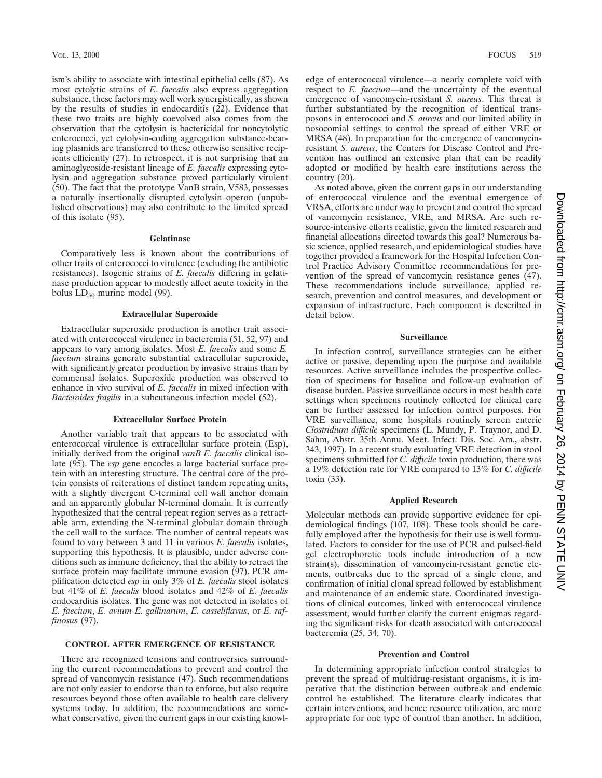ism's ability to associate with intestinal epithelial cells (87). As most cytolytic strains of *E. faecalis* also express aggregation substance, these factors may well work synergistically, as shown by the results of studies in endocarditis (22). Evidence that these two traits are highly coevolved also comes from the observation that the cytolysin is bactericidal for noncytolytic enterococci, yet cytolysin-coding aggregation substance-bearing plasmids are transferred to these otherwise sensitive recipients efficiently (27). In retrospect, it is not surprising that an aminoglycoside-resistant lineage of *E. faecalis* expressing cytolysin and aggregation substance proved particularly virulent (50). The fact that the prototype VanB strain, V583, possesses a naturally insertionally disrupted cytolysin operon (unpublished observations) may also contribute to the limited spread of this isolate (95).

#### **Gelatinase**

Comparatively less is known about the contributions of other traits of enterococci to virulence (excluding the antibiotic resistances). Isogenic strains of *E. faecalis* differing in gelatinase production appear to modestly affect acute toxicity in the bolus  $LD_{50}$  murine model (99).

## **Extracellular Superoxide**

Extracellular superoxide production is another trait associated with enterococcal virulence in bacteremia (51, 52, 97) and appears to vary among isolates. Most *E. faecalis* and some *E. faecium* strains generate substantial extracellular superoxide, with significantly greater production by invasive strains than by commensal isolates. Superoxide production was observed to enhance in vivo survival of *E. faecalis* in mixed infection with *Bacteroides fragilis* in a subcutaneous infection model (52).

#### **Extracellular Surface Protein**

Another variable trait that appears to be associated with enterococcal virulence is extracellular surface protein (Esp), initially derived from the original *vanB E. faecalis* clinical isolate (95). The *esp* gene encodes a large bacterial surface protein with an interesting structure. The central core of the protein consists of reiterations of distinct tandem repeating units, with a slightly divergent C-terminal cell wall anchor domain and an apparently globular N-terminal domain. It is currently hypothesized that the central repeat region serves as a retractable arm, extending the N-terminal globular domain through the cell wall to the surface. The number of central repeats was found to vary between 3 and 11 in various *E. faecalis* isolates, supporting this hypothesis. It is plausible, under adverse conditions such as immune deficiency, that the ability to retract the surface protein may facilitate immune evasion (97). PCR amplification detected *esp* in only 3% of *E. faecalis* stool isolates but 41% of *E. faecalis* blood isolates and 42% of *E. faecalis* endocarditis isolates. The gene was not detected in isolates of *E. faecium*, *E. avium E. gallinarum*, *E. casseliflavus*, or *E. raffinosus* (97).

### **CONTROL AFTER EMERGENCE OF RESISTANCE**

There are recognized tensions and controversies surrounding the current recommendations to prevent and control the spread of vancomycin resistance (47). Such recommendations are not only easier to endorse than to enforce, but also require resources beyond those often available to health care delivery systems today. In addition, the recommendations are somewhat conservative, given the current gaps in our existing knowledge of enterococcal virulence—a nearly complete void with respect to *E. faecium*—and the uncertainty of the eventual emergence of vancomycin-resistant *S. aureus*. This threat is further substantiated by the recognition of identical transposons in enterococci and *S. aureus* and our limited ability in nosocomial settings to control the spread of either VRE or MRSA (48). In preparation for the emergence of vancomycinresistant *S. aureus*, the Centers for Disease Control and Prevention has outlined an extensive plan that can be readily adopted or modified by health care institutions across the country (20).

As noted above, given the current gaps in our understanding of enterococcal virulence and the eventual emergence of VRSA, efforts are under way to prevent and control the spread of vancomycin resistance, VRE, and MRSA. Are such resource-intensive efforts realistic, given the limited research and financial allocations directed towards this goal? Numerous basic science, applied research, and epidemiological studies have together provided a framework for the Hospital Infection Control Practice Advisory Committee recommendations for prevention of the spread of vancomycin resistance genes (47). These recommendations include surveillance, applied research, prevention and control measures, and development or expansion of infrastructure. Each component is described in detail below.

#### **Surveillance**

In infection control, surveillance strategies can be either active or passive, depending upon the purpose and available resources. Active surveillance includes the prospective collection of specimens for baseline and follow-up evaluation of disease burden. Passive surveillance occurs in most health care settings when specimens routinely collected for clinical care can be further assessed for infection control purposes. For VRE surveillance, some hospitals routinely screen enteric *Clostridium difficile* specimens (L. Mundy, P. Traynor, and D. Sahm, Abstr. 35th Annu. Meet. Infect. Dis. Soc. Am., abstr. 343, 1997). In a recent study evaluating VRE detection in stool specimens submitted for *C. difficile* toxin production, there was a 19% detection rate for VRE compared to 13% for *C. difficile* toxin (33).

#### **Applied Research**

Molecular methods can provide supportive evidence for epidemiological findings (107, 108). These tools should be carefully employed after the hypothesis for their use is well formulated. Factors to consider for the use of PCR and pulsed-field gel electrophoretic tools include introduction of a new strain(s), dissemination of vancomycin-resistant genetic elements, outbreaks due to the spread of a single clone, and confirmation of initial clonal spread followed by establishment and maintenance of an endemic state. Coordinated investigations of clinical outcomes, linked with enterococcal virulence assessment, would further clarify the current enigmas regarding the significant risks for death associated with enterococcal bacteremia (25, 34, 70).

#### **Prevention and Control**

In determining appropriate infection control strategies to prevent the spread of multidrug-resistant organisms, it is imperative that the distinction between outbreak and endemic control be established. The literature clearly indicates that certain interventions, and hence resource utilization, are more appropriate for one type of control than another. In addition,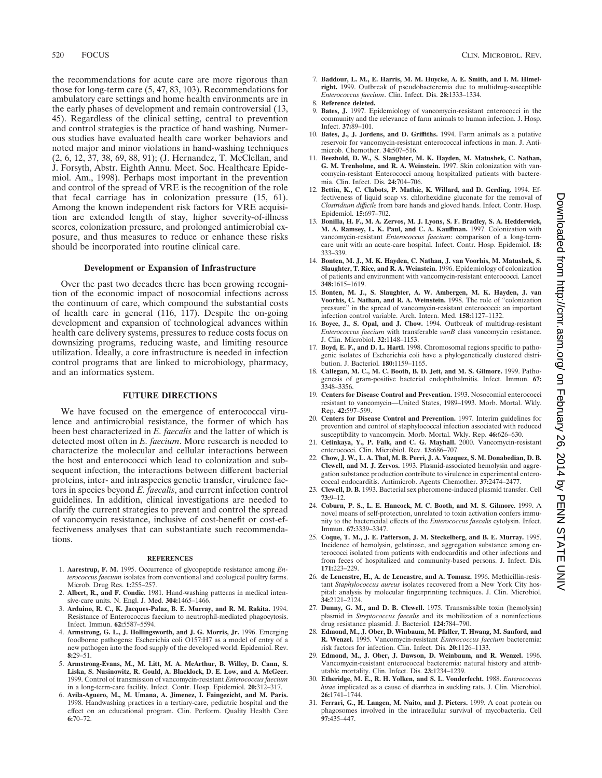the recommendations for acute care are more rigorous than those for long-term care (5, 47, 83, 103). Recommendations for ambulatory care settings and home health environments are in the early phases of development and remain controversial (13, 45). Regardless of the clinical setting, central to prevention and control strategies is the practice of hand washing. Numerous studies have evaluated health care worker behaviors and noted major and minor violations in hand-washing techniques (2, 6, 12, 37, 38, 69, 88, 91); (J. Hernandez, T. McClellan, and J. Forsyth, Abstr. Eighth Annu. Meet. Soc. Healthcare Epidemiol. Am., 1998). Perhaps most important in the prevention and control of the spread of VRE is the recognition of the role that fecal carriage has in colonization pressure (15, 61). Among the known independent risk factors for VRE acquisition are extended length of stay, higher severity-of-illness scores, colonization pressure, and prolonged antimicrobial exposure, and thus measures to reduce or enhance these risks should be incorporated into routine clinical care.

#### **Development or Expansion of Infrastructure**

Over the past two decades there has been growing recognition of the economic impact of nosocomial infections across the continuum of care, which compound the substantial costs of health care in general (116, 117). Despite the on-going development and expansion of technological advances within health care delivery systems, pressures to reduce costs focus on downsizing programs, reducing waste, and limiting resource utilization. Ideally, a core infrastructure is needed in infection control programs that are linked to microbiology, pharmacy, and an informatics system.

## **FUTURE DIRECTIONS**

We have focused on the emergence of enterococcal virulence and antimicrobial resistance, the former of which has been best characterized in *E. faecalis* and the latter of which is detected most often in *E. faecium*. More research is needed to characterize the molecular and cellular interactions between the host and enterococci which lead to colonization and subsequent infection, the interactions between different bacterial proteins, inter- and intraspecies genetic transfer, virulence factors in species beyond *E. faecalis*, and current infection control guidelines. In addition, clinical investigations are needed to clarify the current strategies to prevent and control the spread of vancomycin resistance, inclusive of cost-benefit or cost-effectiveness analyses that can substantiate such recommendations.

#### **REFERENCES**

- 1. **Aarestrup, F. M.** 1995. Occurrence of glycopeptide resistance among *Enterococcus faecium* isolates from conventional and ecological poultry farms. Microb. Drug Res. **1:**255–257.
- 2. **Albert, R., and F. Condie.** 1981. Hand-washing patterns in medical intensive-care units. N. Engl. J. Med. **304:**1465–1466.
- 3. **Arduino, R. C., K. Jacques-Palaz, B. E. Murray, and R. M. Rakita.** 1994. Resistance of Enterococcus faecium to neutrophil-mediated phagocytosis. Infect. Immun. **62:**5587–5594.
- 4. **Armstrong, G. L., J. Hollingsworth, and J. G. Morris, Jr.** 1996. Emerging foodborne pathogens: Escherichia coli O157:H7 as a model of entry of a new pathogen into the food supply of the developed world. Epidemiol. Rev. **8:**29–51.
- 5. **Armstrong-Evans, M., M. Litt, M. A. McArthur, B. Willey, D. Cann, S. Liska, S. Nusinowitz, R. Gould, A. Blacklock, D. E. Low, and A. McGeer.** 1999. Control of transmission of vancomycin-resistant *Enterococcus faecium* in a long-term-care facility. Infect. Contr. Hosp. Epidemiol. **20:**312–317.
- 6. **Avila-Aguero, M., M. Umana, A. Jimenez, I. Faingezicht, and M. Paris.** 1998. Handwashing practices in a tertiary-care, pediatric hospital and the effect on an educational program. Clin. Perform. Quality Health Care **6:**70–72.
- 7. **Baddour, L. M., E. Harris, M. M. Huycke, A. E. Smith, and I. M. Himelright.** 1999. Outbreak of pseudobacteremia due to multidrug-susceptible *Enterococcus faecium*. Clin. Infect. Dis. **28:**1333–1334.
- 8. **Reference deleted.**
- 9. **Bates, J.** 1997. Epidemiology of vancomycin-resistant enterococci in the community and the relevance of farm animals to human infection. J. Hosp. Infect. **37:**89–101.
- 10. **Bates, J., J. Jordens, and D. Griffiths.** 1994. Farm animals as a putative reservoir for vancomycin-resistant enterococcal infections in man. J. Antimicrob. Chemother. **34:**507–516.
- 11. **Beezhold, D. W., S. Slaughter, M. K. Hayden, M. Matushek, C. Nathan, G. M. Trenholme, and R. A. Weinstein.** 1997. Skin colonization with vancomycin-resistant Enterococci among hospitalized patients with bacteremia. Clin. Infect. Dis. **24:**704–706.
- 12. **Bettin, K., C. Clabots, P. Mathie, K. Willard, and D. Gerding.** 1994. Effectiveness of liquid soap vs. chlorhexidine gluconate for the removal of *Clostridium difficile* from bare hands and gloved hands. Infect. Contr. Hosp. Epidemiol. **15:**697–702.
- 13. **Bonilla, H. F., M. A. Zervos, M. J. Lyons, S. F. Bradley, S. A. Hedderwick, M. A. Ramsey, L. K. Paul, and C. A. Kauffman.** 1997. Colonization with vancomycin-resistant *Enterococcus faecium*: comparison of a long-termcare unit with an acute-care hospital. Infect. Contr. Hosp. Epidemiol. **18:** 333–339.
- 14. **Bonten, M. J., M. K. Hayden, C. Nathan, J. van Voorhis, M. Matushek, S. Slaughter, T. Rice, and R. A. Weinstein.** 1996. Epidemiology of colonization of patients and environment with vancomycin-resistant enterococci. Lancet **348:**1615–1619.
- 15. **Bonten, M. J., S. Slaughter, A. W. Ambergen, M. K. Hayden, J. van Voorhis, C. Nathan, and R. A. Weinstein.** 1998. The role of "colonization pressure" in the spread of vancomycin-resistant enterococci: an important infection control variable. Arch. Intern. Med. **158:**1127–1132.
- 16. **Boyce, J., S. Opal, and J. Chow.** 1994. Outbreak of multidrug-resistant *Enterococcus faecium* with transferable *vanB* class vancomycin resistance. J. Clin. Microbiol. **32:**1148–1153.
- 17. **Boyd, E. F., and D. L. Hartl.** 1998. Chromosomal regions specific to pathogenic isolates of Escherichia coli have a phylogenetically clustered distribution. J. Bacteriol. **180:**1159–1165.
- 18. **Callegan, M. C., M. C. Booth, B. D. Jett, and M. S. Gilmore.** 1999. Pathogenesis of gram-positive bacterial endophthalmitis. Infect. Immun. **67:** 3348–3356.
- 19. **Centers for Disease Control and Prevention.** 1993. Nosocomial enterococci resistant to vancomycin—United States, 1989–1993. Morb. Mortal. Wkly. Rep. **42:**597–599.
- 20. **Centers for Disease Control and Prevention.** 1997. Interim guidelines for prevention and control of staphylococcal infection associated with reduced susceptibility to vancomycin. Morb. Mortal. Wkly. Rep. **46:**626–630.
- 21. **Cetinkaya, Y., P. Falk, and C. G. Mayhall.** 2000. Vancomycin-resistant enterococci. Clin. Microbiol. Rev. **13:**686–707.
- 22. **Chow, J. W., L. A. Thal, M. B. Perri, J. A. Vazquez, S. M. Donabedian, D. B. Clewell, and M. J. Zervos.** 1993. Plasmid-associated hemolysin and aggregation substance production contribute to virulence in experimental enterococcal endocarditis. Antimicrob. Agents Chemother. **37:**2474–2477.
- 23. **Clewell, D. B.** 1993. Bacterial sex pheromone-induced plasmid transfer. Cell **73:**9–12.
- 24. **Coburn, P. S., L. E. Hancock, M. C. Booth, and M. S. Gilmore.** 1999. A novel means of self-protection, unrelated to toxin activation confers immunity to the bactericidal effects of the *Enterococcus faecalis* cytolysin. Infect. Immun. **67:**3339–3347.
- 25. **Coque, T. M., J. E. Patterson, J. M. Steckelberg, and B. E. Murray.** 1995. Incidence of hemolysin, gelatinase, and aggregation substance among enterococci isolated from patients with endocarditis and other infections and from feces of hospitalized and community-based persons. J. Infect. Dis. **171:**223–229.
- 26. **de Lencastre, H., A. de Lencastre, and A. Tomasz.** 1996. Methicillin-resistant *Staphylococcus aureus* isolates recovered from a New York City hospital: analysis by molecular fingerprinting techniques. J. Clin. Microbiol. **34:**2121–2124.
- 27. **Dunny, G. M., and D. B. Clewell.** 1975. Transmissible toxin (hemolysin) plasmid in *Streptococcus faecalis* and its mobilization of a noninfectious drug resistance plasmid. J. Bacteriol. **124:**784–790.
- 28. **Edmond, M., J. Ober, D. Winbaum, M. Pfaller, T. Hwang, M. Sanford, and R. Wenzel.** 1995. Vancomycin-resistant *Enterococcus faecium* bacteremia: risk factors for infection. Clin. Infect. Dis. **20:**1126–1133.
- 29. **Edmond, M., J. Ober, J. Dawson, D. Weinbaum, and R. Wenzel.** 1996. Vancomycin-resistant enterococcal bacteremia: natural history and attributable mortality. Clin. Infect. Dis. **23:**1234–1239.
- 30. **Etheridge, M. E., R. H. Yolken, and S. L. Vonderfecht.** 1988. *Enterococcus hirae* implicated as a cause of diarrhea in suckling rats. J. Clin. Microbiol. **26:**1741–1744.
- 31. **Ferrari, G., H. Langen, M. Naito, and J. Pieters.** 1999. A coat protein on phagosomes involved in the intracellular survival of mycobacteria. Cell **97:**435–447.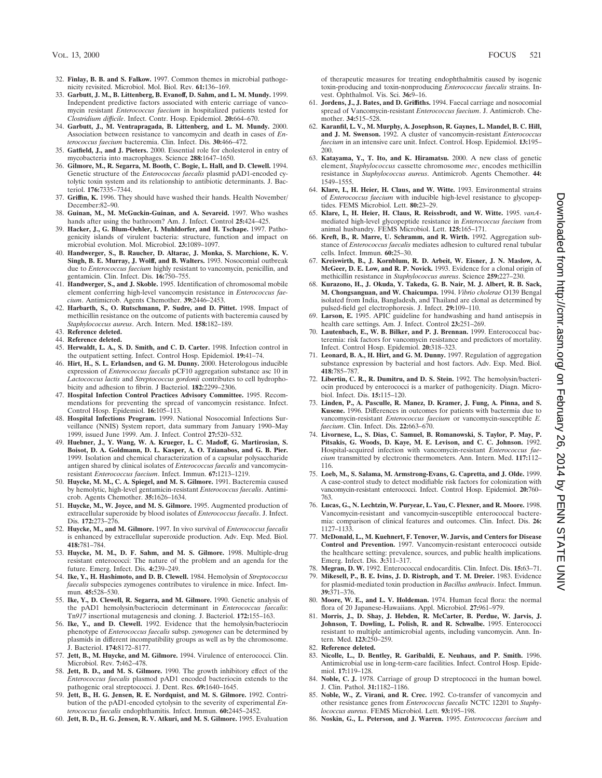- 32. **Finlay, B. B. and S. Falkow.** 1997. Common themes in microbial pathogenicity revisited. Microbiol. Mol. Biol. Rev. **61:**136–169.
- 33. **Garbutt, J. M., B. Littenberg, B. Evanoff, D. Sahm, and L. M. Mundy.** 1999. Independent predictive factors associated with enteric carriage of vancomycin resistant *Enterococcus faecium* in hospitalized patients tested for *Clostridium difficile*. Infect. Contr. Hosp. Epidemiol. **20:**664–670.
- 34. **Garbutt, J., M. Ventrapragada, B. Littenberg, and L. M. Mundy.** 2000. Association between resistance to vancomycin and death in cases of *Enterococcus faecium* bacteremia. Clin. Infect. Dis. **30:**466–472.
- 35. **Gatfield, J., and J. Pieters.** 2000. Essential role for cholesterol in entry of mycobacteria into macrophages. Science **288:**1647–1650.
- 36. **Gilmore, M., R. Segarra, M. Booth, C. Bogie, L. Hall, and D. Clewell.** 1994. Genetic structure of the *Enterococcus faecalis* plasmid pAD1-encoded cytolytic toxin system and its relationship to antibiotic determinants. J. Bacteriol. **176:**7335–7344.
- 37. **Griffin, K.** 1996. They should have washed their hands. Health November/ December:82–90.
- 38. **Guinan, M., M. McGuckin-Guinan, and A. Sevareid.** 1997. Who washes hands after using the bathroom? Am. J. Infect. Control **25:**424–425.
- 39. **Hacker, J., G. Blum-Oehler, I. Muhldorfer, and H. Tschape.** 1997. Pathogenicity islands of virulent bacteria: structure, function and impact on microbial evolution. Mol. Microbiol. **23:**1089–1097.
- 40. **Handwerger, S., B. Raucher, D. Altarac, J. Monka, S. Marchione, K. V. Singh, B. E. Murray, J. Wolff, and B. Walters.** 1993. Nosocomial outbreak due to *Enterococcus faecium* highly resistant to vancomycin, penicillin, and gentamicin. Clin. Infect. Dis. **16:**750–755.
- 41. **Handwerger, S., and J. Skoble.** 1995. Identification of chromosomal mobile element conferring high-level vancomycin resistance in *Enterococcus faecium*. Antimicrob. Agents Chemother. **39:**2446–2453.
- 42. **Harbarth, S., O. Rutschmann, P. Sudre, and D. Pittet.** 1998. Impact of methicillin resistance on the outcome of patients with bacteremia caused by *Staphylococcus aureus*. Arch. Intern. Med. **158:**182–189.
- 43. **Reference deleted.** 44. **Reference deleted.**
- 45. **Herwaldt, L. A., S. D. Smith, and C. D. Carter.** 1998. Infection control in the outpatient setting. Infect. Control Hosp. Epidemiol. **19:**41–74.
- 46. **Hirt, H., S. L. Erlandsen, and G. M. Dunny.** 2000. Heterologous inducible expression of *Enterococcus faecalis* pCF10 aggregation substance asc 10 in *Lactococcus lactis* and *Streptococcus gordonii* contributes to cell hydrophobicity and adhesion to fibrin. J Bacteriol. **182:**2299–2306.
- 47. **Hospital Infection Control Practices Advisory Committee.** 1995. Recommendations for preventing the spread of vancomycin resistance. Infect. Control Hosp. Epidemiol. **16:**105–113.
- 48. **Hospital Infections Program.** 1999. National Nosocomial Infections Surveillance (NNIS) System report, data summary from January 1990–May 1999, issued June 1999. Am. J. Infect. Control **27:**520–532.
- 49. **Huebner, J., Y. Wang, W. A. Krueger, L. C. Madoff, G. Martirosian, S. Boisot, D. A. Goldmann, D. L. Kasper, A. O. Tzianabos, and G. B. Pier.** 1999. Isolation and chemical characterization of a capsular polysaccharide antigen shared by clinical isolates of *Enterococcus faecalis* and vancomycinresistant *Enterococcus faecium*. Infect. Immun. **67:**1213–1219.
- 50. **Huycke, M. M., C. A. Spiegel, and M. S. Gilmore.** 1991. Bacteremia caused by hemolytic, high-level gentamicin-resistant *Enterococcus faecalis*. Antimicrob. Agents Chemother. **35:**1626–1634.
- 51. **Huycke, M., W. Joyce, and M. S. Gilmore.** 1995. Augmented production of extracellular superoxide by blood isolates of *Enterococcus faecalis*. J. Infect. Dis. **172:**273–276.
- 52. **Huycke, M., and M. Gilmore.** 1997. In vivo survival of *Enterococcus faecalis* is enhanced by extracellular superoxide production. Adv. Exp. Med. Biol. **418:**781–784.
- 53. **Huycke, M. M., D. F. Sahm, and M. S. Gilmore.** 1998. Multiple-drug resistant enterococci: The nature of the problem and an agenda for the future. Emerg. Infect. Dis. **4:**239–249.
- 54. **Ike, Y., H. Hashimoto, and D. B. Clewell.** 1984. Hemolysin of *Streptococcus faecalis* subspecies zymogenes contributes to virulence in mice. Infect. Immun. **45:**528–530.
- 55. **Ike, Y., D. Clewell, R. Segarra, and M. Gilmore.** 1990. Genetic analysis of the pAD1 hemolysin/bacteriocin determinant in *Enterococcus faecalis*: Tn*917* insertional mutagenesis and cloning. J. Bacteriol. **172:**155–163.
- 56. **Ike, Y., and D. Clewell.** 1992. Evidence that the hemolysin/bacteriocin phenotype of *Enterococcus faecalis* subsp. *zymogenes* can be determined by plasmids in different incompatibility groups as well as by the chromosome. J. Bacteriol. **174:**8172–8177.
- 57. **Jett, B., M. Huycke, and M. Gilmore.** 1994. Virulence of enterococci. Clin. Microbiol. Rev. **7:**462–478.
- 58. **Jett, B. D., and M. S. Gilmore.** 1990. The growth inhibitory effect of the *Enterococcus faecalis* plasmod pAD1 encoded bacteriocin extends to the pathogenic oral streptococci. J. Dent. Res. **69:**1640–1645.
- 59. **Jett, B., H. G. Jensen, R. E. Nordquist, and M. S. Gilmore.** 1992. Contribution of the pAD1-encoded cytolysin to the severity of experimental *Enterococcus faecalis* endophthamitis. Infect. Immun. **60:**2445–2452.
- 60. **Jett, B. D., H. G. Jensen, R. V. Atkuri, and M. S. Gilmore.** 1995. Evaluation

of therapeutic measures for treating endophthalmitis caused by isogenic toxin-producing and toxin-nonproducing *Enterococcus faecalis* strains. Invest. Ophthalmol. Vis. Sci. **36:**9–16.

- 61. **Jordens, J., J. Bates, and D. Griffiths.** 1994. Faecal carriage and nosocomial spread of Vancomycin-resistant *Enterococcus faecium*. J. Antimicrob. Chemother. **34:**515–528.
- 62. **Karanfil, L. V., M. Murphy, A. Josephson, R. Gaynes, L. Mandel, B. C. Hill, and J. M. Swenson.** 1992. A cluster of vancomycin-resistant *Enterococcus faecium* in an intensive care unit. Infect. Control. Hosp. Epidemiol. **13:**195– 200.
- 63. **Katayama, Y., T. Ito, and K. Hiramatsu.** 2000. A new class of genetic element, *Staphylococcus* cassette chromosome *mec*, encodes methicillin resistance in *Staphylococcus aureus*. Antimicrob. Agents Chemother. **44:** 1549–1555.
- 64. **Klare, I., H. Heier, H. Claus, and W. Witte.** 1993. Environmental strains of *Enterococcus faecium* with inducible high-level resistance to glycopeptides. FEMS Microbiol. Lett. **80:**23–29.
- 65. **Klare, I., H. Heier, H. Claus, R. Reissbrodt, and W. Witte.** 1995. *vanA*mediated high-level glycopeptide resistance in *Enterococcus faecium* from animal husbandry. FEMS Microbiol. Lett. **125:**165–171.
- 66. **Kreft, B., R. Marre, U. Schramm, and R. Wirth.** 1992. Aggregation substance of *Enterococcus faecalis* mediates adhesion to cultured renal tubular cells. Infect. Immun. **60:**25–30.
- 67. **Kreiswirth, B., J. Kornblum, R. D. Arbeit, W. Eisner, J. N. Maslow, A. McGeer, D. E. Low, and R. P. Novick.** 1993. Evidence for a clonal origin of methicillin resistance in *Staphylococcus aureus*. Science **259:**227–230.
- 68. **Kurazono, H., J. Okuda, Y. Takeda, G. B. Nair, M. J. Albert, R. B. Sack, M. Chongsanguan, and W. Chaicumpa.** 1994. *Vibrio cholerae* O139 Bengal isolated from India, Bangladesh, and Thailand are clonal as determined by pulsed-field gel electrophoresis. J. Infect. **29:**109–110.
- 69. **Larson, E.** 1995. APIC guideline for handwashing and hand antisepsis in health care settings. Am. J. Infect. Control **23:**251–269.
- 70. **Lautenbach, E., W. B. Bilker, and P. J. Brennan.** 1999. Enterococcal bacteremia: risk factors for vancomycin resistance and predictors of mortality. Infect. Control Hosp. Epidemiol. **20:**318–323.
- 71. **Leonard, B. A., H. Hirt, and G. M. Dunny.** 1997. Regulation of aggregation substance expression by bacterial and host factors. Adv. Exp. Med. Biol. **418:**785–787.
- 72. **Libertin, C. R., R. Dumitru, and D. S. Stein.** 1992. The hemolysin/bacteriocin produced by enterococci is a marker of pathogenicity. Diagn. Microbiol. Infect. Dis. **15:**115–120.
- 73. **Linden, P., A. Pasculle, R. Manez, D. Kramer, J. Fung, A. Pinna, and S. Kusene.** 1996. Differences in outcomes for patients with bactermia due to vancomycin-resistant *Enterococcus faecium* or vancomycin-susceptible *E. faecium*. Clin. Infect. Dis. **22:**663–670.
- 74. **Livornese, L., S. Dias, C. Samuel, B. Romanowski, S. Taylor, P. May, P. Pitsakis, G. Woods, D. Kaye, M. E. Levison, and C. C. Johnson.** 1992. Hospital-acquired infection with vancomycin-resistant *Enterococcus faecium* transmitted by electronic thermometers. Ann. Intern. Med. **117:**112– 116.
- 75. **Loeb, M., S. Salama, M. Armstrong-Evans, G. Capretta, and J. Olde.** 1999. A case-control study to detect modifiable risk factors for colonization with vancomycin-resistant enterococci. Infect. Control Hosp. Epidemiol. **20:**760– 763.
- 76. **Lucas, G., N. Lechtzin, W. Puryear, L. Yau, C. Flexner, and R. Moore.** 1998. Vancomycin-resistant and vancomycin-susceptible enterococcal bacteremia: comparison of clinical features and outcomes. Clin. Infect. Dis. **26:** 1127–1133.
- 77. **McDonald, L., M. Kuehnert, F. Tenover, W. Jarvis, and Centers for Disease Control and Prevention.** 1997. Vancomycin-resistant enterococci outside the healthcare setting: prevalence, sources, and public health implications. Emerg. Infect. Dis. **3:**311–317.
- 78. **Megran, D. W.** 1992. Enterococcal endocarditis. Clin. Infect. Dis. **15:**63–71.
- 79. **Mikesell, P., B. E. Ivins, J. D. Ristroph, and T. M. Dreier.** 1983. Evidence for plasmid-mediated toxin production in *Bacillus anthracis*. Infect. Immun. **39:**371–376.
- 80. **Moore, W. E., and L. V. Holdeman.** 1974. Human fecal flora: the normal flora of 20 Japanese-Hawaiians. Appl. Microbiol. **27:**961–979.
- 81. **Morris, J., D. Shay, J. Hebden, R. McCarter, B. Perdue, W. Jarvis, J. Johnson, T. Dowling, L. Polish, R. and R. Schwalbe.** 1995. Enterococci resistant to multiple antimicrobial agents, including vancomycin. Ann. Intern. Med. **123:**250–259.
- 82. **Reference deleted.**
- 83. **Nicolle, L., D. Bentley, R. Garibaldi, E. Neuhaus, and P. Smith.** 1996. Antimicrobial use in long-term-care facilities. Infect. Control Hosp. Epidemiol. **17:**119–128.
- 84. **Noble, C. J.** 1978. Carriage of group D streptococci in the human bowel. J. Clin. Pathol. **31:**1182–1186.
- 85. **Noble, W., Z. Virani, and R. Crec.** 1992. Co-transfer of vancomycin and other resistance genes from *Enterococcus faecalis* NCTC 12201 to *Staphylococcus aureus*. FEMS Microbiol. Lett. **93:**195–198.
- 86. **Noskin, G., L. Peterson, and J. Warren.** 1995. *Enterococcus faecium* and